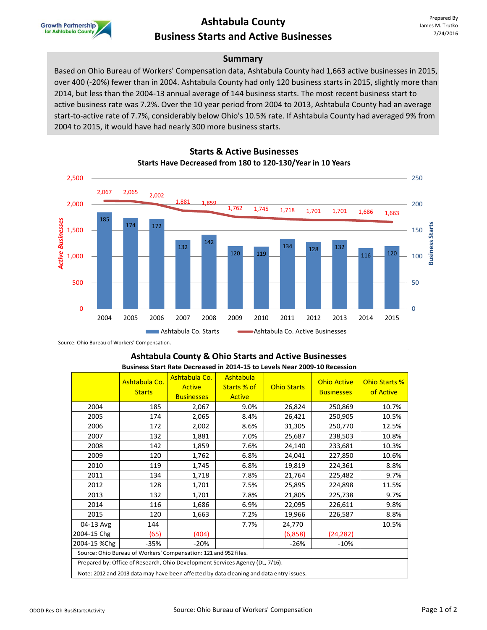

## **Ashtabula County Business Starts and Active Businesses**

### **Summary**

Based on Ohio Bureau of Workers' Compensation data, Ashtabula County had 1,663 active businesses in 2015, over 400 (-20%) fewer than in 2004. Ashtabula County had only 120 business starts in 2015, slightly more than 2014, but less than the 2004-13 annual average of 144 business starts. The most recent business start to active business rate was 7.2%. Over the 10 year period from 2004 to 2013, Ashtabula County had an average start-to-active rate of 7.7%, considerably below Ohio's 10.5% rate. If Ashtabula County had averaged 9% from 2004 to 2015, it would have had nearly 300 more business starts.



**Starts & Active Businesses Starts Have Decreased from 180 to 120-130/Year in 10 Years**

Source: Ohio Bureau of Workers' Compensation.

#### **Ashtabula County & Ohio Starts and Active Businesses Business Start Rate Decreased in 2014-15 to Levels Near 2009-10 Recession**

|                                                                                         | Ashtabula Co.<br><b>Starts</b> | Ashtabula Co.<br><b>Active</b><br><b>Businesses</b> | Ashtabula<br>Starts % of<br><b>Active</b> | <b>Ohio Starts</b> | <b>Ohio Active</b><br><b>Businesses</b> | Ohio Starts %<br>of Active |  |  |  |
|-----------------------------------------------------------------------------------------|--------------------------------|-----------------------------------------------------|-------------------------------------------|--------------------|-----------------------------------------|----------------------------|--|--|--|
| 2004                                                                                    | 185                            | 2,067                                               | 9.0%                                      | 26,824             | 250,869                                 | 10.7%                      |  |  |  |
| 2005                                                                                    | 174                            | 2,065                                               | 8.4%                                      | 26,421             | 250,905                                 | 10.5%                      |  |  |  |
| 2006                                                                                    | 172                            | 2,002                                               | 8.6%                                      | 31,305             | 250,770                                 | 12.5%                      |  |  |  |
| 2007                                                                                    | 132                            | 1,881                                               | 7.0%                                      | 25,687             | 238,503                                 | 10.8%                      |  |  |  |
| 2008                                                                                    | 142                            | 1,859                                               | 7.6%                                      | 24,140             | 233,681                                 | 10.3%                      |  |  |  |
| 2009                                                                                    | 120                            | 1,762                                               | 6.8%                                      | 24,041             | 227,850                                 | 10.6%                      |  |  |  |
| 2010                                                                                    | 119                            | 1,745                                               | 6.8%                                      | 19,819             | 224,361                                 | 8.8%                       |  |  |  |
| 2011                                                                                    | 134                            | 1,718                                               | 7.8%                                      | 21,764             | 225,482                                 | 9.7%                       |  |  |  |
| 2012                                                                                    | 128                            | 1,701                                               | 7.5%                                      | 25,895             | 224,898                                 | 11.5%                      |  |  |  |
| 2013                                                                                    | 132                            | 1,701                                               | 7.8%                                      | 21,805             | 225,738                                 | 9.7%                       |  |  |  |
| 2014                                                                                    | 116                            | 1,686                                               | 6.9%                                      | 22,095             | 226,611                                 | 9.8%                       |  |  |  |
| 2015                                                                                    | 120                            | 1,663                                               | 7.2%                                      | 19,966             | 226,587                                 | 8.8%                       |  |  |  |
| 04-13 Avg                                                                               | 144                            |                                                     | 7.7%                                      | 24,770             |                                         | 10.5%                      |  |  |  |
| 2004-15 Chg                                                                             | (65)                           | (404)                                               |                                           | (6,858)            | (24, 282)                               |                            |  |  |  |
| 2004-15 %Chg                                                                            | $-35%$                         | $-20%$                                              |                                           | $-26%$             | $-10%$                                  |                            |  |  |  |
| Source: Ohio Bureau of Workers' Compensation: 121 and 952 files.                        |                                |                                                     |                                           |                    |                                         |                            |  |  |  |
| Prepared by: Office of Research, Ohio Development Services Agency (DL, 7/16).           |                                |                                                     |                                           |                    |                                         |                            |  |  |  |
| Note: 2012 and 2013 data may have been affected by data cleaning and data entry issues. |                                |                                                     |                                           |                    |                                         |                            |  |  |  |